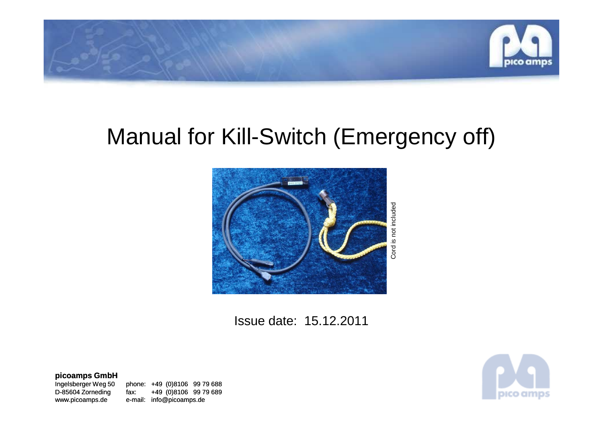

# Manual for Kill-Switch (Emergency off)



Issue date: 15.12.2011

**picoamps GmbH**

Ingelsberger Weg 50

Ingelsberger Weg 50 phone: +49 (0)8106 99 79 688<br>D-85604 Zorneding fax: +49 (0)8106 99 79 689 D-85604 Zorneding fax: +49 (0)8106 99 79 689www.picoamps.de e-mail: info@picoamps.de

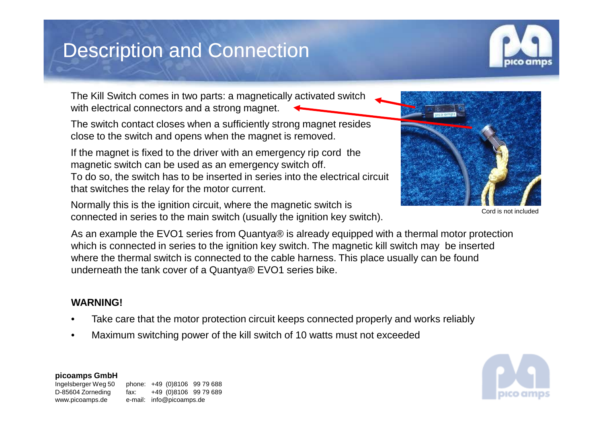### Description and Connection



The Kill Switch comes in two parts: a magnetically activated switch with electrical connectors and a strong magnet.

The switch contact closes when a sufficiently strong magnet resides close to the switch and opens when the magnet is removed.

If the magnet is fixed to the driver with an emergency rip cord the magnetic switch can be used as an emergency switch off.To do so, the switch has to be inserted in series into the electrical circuit that switches the relay for the motor current.

Normally this is the ignition circuit, where the magnetic switch is connected in series to the main switch (usually the ignition key switch).

Cord is not included

As an example the EVO1 series from Quantya® is already equipped with a thermal motor protection which is connected in series to the ignition key switch. The magnetic kill switch may be inserted where the thermal switch is connected to the cable harness. This place usually can be found underneath the tank cover of a Quantya® EVO1 series bike.

#### **WARNING!**

- •Take care that the motor protection circuit keeps connected properly and works reliably
- •Maximum switching power of the kill switch of 10 watts must not exceeded



**picoamps GmbH**

Ingelsberger Weg 50 phone: +49 (0)8106 99 79 688 D-85604 Zorneding fax: +49 (0)8106 99 79 689www.picoamps.de e-mail: info@picoamps.de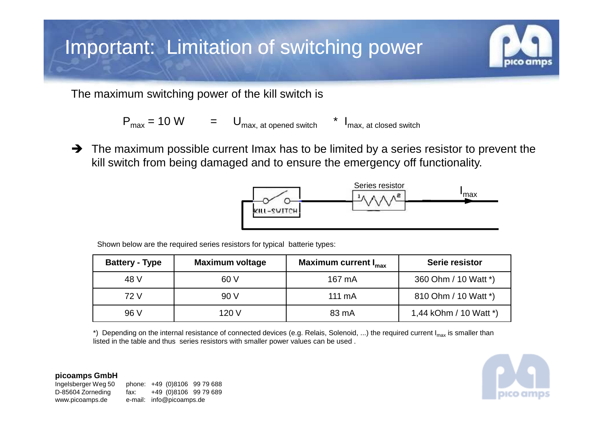# Important: Limitation of switching power

The maximum switching power of the kill switch is

$$
P_{\text{max}} = 10 \text{ W} = U_{\text{max, at opened switch}} * I_{\text{max, at closed switch}}
$$

 $\rightarrow$  The maximum possible current Imax has to be limited by a series resistor to prevent the  $\bullet$  is ill switch from being damaged and to ensure the emergency off functionality kill switch from being damaged and to ensure the emergency off functionality.



Shown below are the required series resistors for typical batterie types:

| <b>Battery - Type</b> | <b>Maximum voltage</b> | Maximum current I <sub>max</sub> | Serie resistor         |
|-----------------------|------------------------|----------------------------------|------------------------|
| 48 V                  | 60 V                   | 167 mA                           | 360 Ohm / 10 Watt *)   |
| 72 V                  | 90 V                   | 111 mA                           | 810 Ohm / 10 Watt *)   |
| 96 V                  | 120 V                  | 83 mA                            | 1,44 kOhm / 10 Watt *) |

\*) Depending on the internal resistance of connected devices (e.g. Relais, Solenoid, ...) the required current I<sub>max</sub> is smaller than listed in the table and thus series resistors with smaller power values can be used .

**picoamps GmbH**

Ingelsberger Weg 50 phone: +49 (0)8106 99 79 688 D-85604 Zorneding fax: +49 (0)8106 99 79 689www.picoamps.de e-mail: info@picoamps.de

pico amp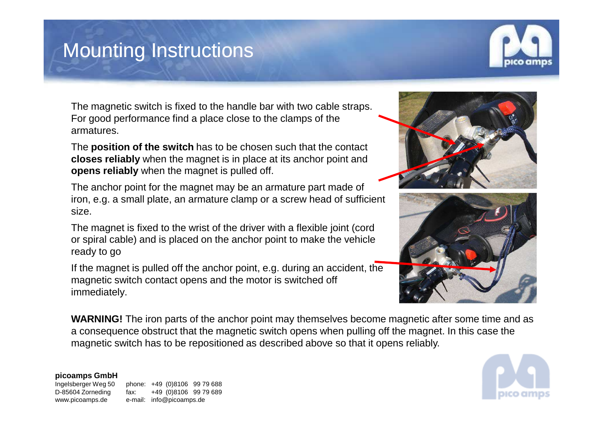### Mounting Instructions



The magnetic switch is fixed to the handle bar with two cable straps. For good performance find a place close to the clamps of the armatures.

The **position of the switch** has to be chosen such that the contact **closes reliably** when the magnet is in place at its anchor point and**opens reliably** when the magnet is pulled off.

The anchor point for the magnet may be an armature part made of iron, e.g. a small plate, an armature clamp or a screw head of sufficient size.

The magnet is fixed to the wrist of the driver with a flexible joint (cord or spiral cable) and is placed on the anchor point to make the vehicle ready to go

If the magnet is pulled off the anchor point, e.g. during an accident, the magnetic switch contact opens and the motor is switched off immediately.





**WARNING!** The iron parts of the anchor point may themselves become magnetic after some time and as a consequence obstruct that the magnetic switch opens when pulling off the magnet. In this case the magnetic switch has to be repositioned as described above so that it opens reliably.

#### **picoamps GmbH**

Ingelsberger Weg 50

phone: +49 (0)8106 99 79 688 D-85604 Zorneding fax: +49 (0)8106 99 79 689www.picoamps.de e-mail: info@picoamps.de

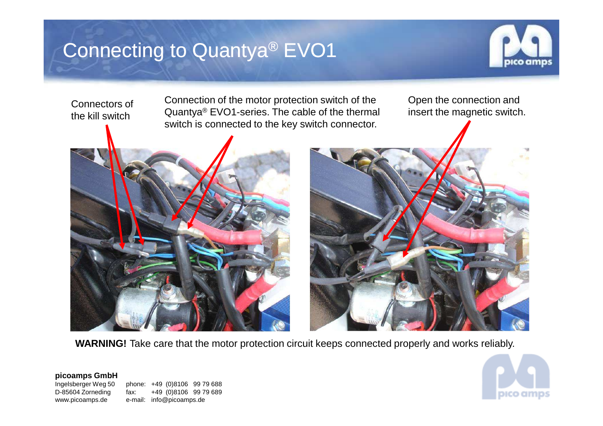## Connecting to Quantya® EVO1



Connectors of the kill switch

Connection of the motor protection switch of the Quantya® EVO1-series. The cable of the thermal switch is connected to the key switch connector.

Open the connection and insert the magnetic switch.





**WARNING!** Take care that the motor protection circuit keeps connected properly and works reliably.

#### **picoamps GmbH**

Ingelsberger Weg 50

phone: +49 (0)8106 99 79 688 D-85604 Zorneding fax: +49 (0)8106 99 79 689www.picoamps.de e-mail: info@picoamps.de